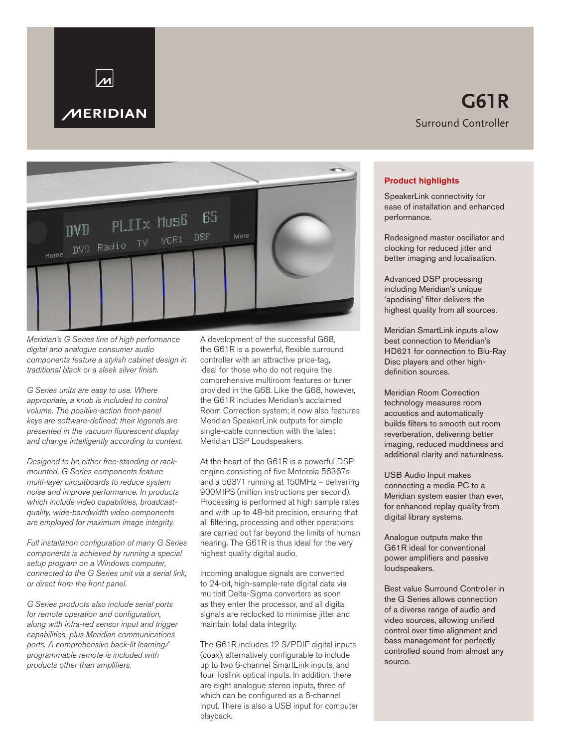# **MERIDIAN**

# **G61R** Surround Controller



*Meridian's G Series line of high performance digital and analogue consumer audio components feature a stylish cabinet design in traditional black or a sleek silver finish.* 

*G Series units are easy to use. Where appropriate, a knob is included to control volume. The positive-action front-panel keys are software-defined: their legends are presented in the vacuum fluorescent display and change intelligently according to context.*

*Designed to be either free-standing or rackmounted, G Series components feature multi-layer circuitboards to reduce system noise and improve performance. In products which include video capabilities, broadcastquality, wide-bandwidth video components are employed for maximum image integrity.*

*Full installation configuration of many G Series components is achieved by running a special setup program on a Windows computer, connected to the G Series unit via a serial link, or direct from the front panel.*

*G Series products also include serial ports for remote operation and configuration, along with infra-red sensor input and trigger capabilities, plus Meridian communications ports. A comprehensive back-lit learning/ programmable remote is included with products other than amplifiers.*

A development of the successful G68, the G61R is a powerful, flexible surround controller with an attractive price-tag, ideal for those who do not require the comprehensive multiroom features or tuner provided in the G68. Like the G68, however, the G61R includes Meridian's acclaimed Room Correction system; it now also features Meridian SpeakerLink outputs for simple single-cable connection with the latest Meridian DSP Loudspeakers.

At the heart of the G61R is a powerful DSP engine consisting of five Motorola 56367s and a 56371 running at 150MHz – delivering 900MIPS (million instructions per second). Processing is performed at high sample rates and with up to 48-bit precision, ensuring that all filtering, processing and other operations are carried out far beyond the limits of human hearing. The G61R is thus ideal for the very highest quality digital audio.

Incoming analogue signals are converted to 24-bit, high-sample-rate digital data via multibit Delta-Sigma converters as soon as they enter the processor, and all digital signals are reclocked to minimise jitter and maintain total data integrity.

The G61R includes 12 S/PDIF digital inputs (coax), alternatively configurable to include up to two 6-channel SmartLink inputs, and four Toslink optical inputs. In addition, there are eight analogue stereo inputs, three of which can be configured as a 6-channel input. There is also a USB input for computer playback.

# **Product highlights**

SpeakerLink connectivity for ease of installation and enhanced performance.

Redesigned master oscillator and clocking for reduced jitter and better imaging and localisation.

Advanced DSP processing including Meridian's unique 'apodising' filter delivers the highest quality from all sources.

Meridian SmartLink inputs allow best connection to Meridian's HD621 for connection to Blu-Ray Disc players and other highdefinition sources.

Meridian Room Correction technology measures room acoustics and automatically builds filters to smooth out room reverberation, delivering better imaging, reduced muddiness and additional clarity and naturalness.

USB Audio Input makes connecting a media PC to a Meridian system easier than ever, for enhanced replay quality from digital library systems.

Analogue outputs make the G61R ideal for conventional power amplifiers and passive loudspeakers.

Best value Surround Controller in the G Series allows connection of a diverse range of audio and video sources, allowing unified control over time alignment and bass management for perfectly controlled sound from almost any source.